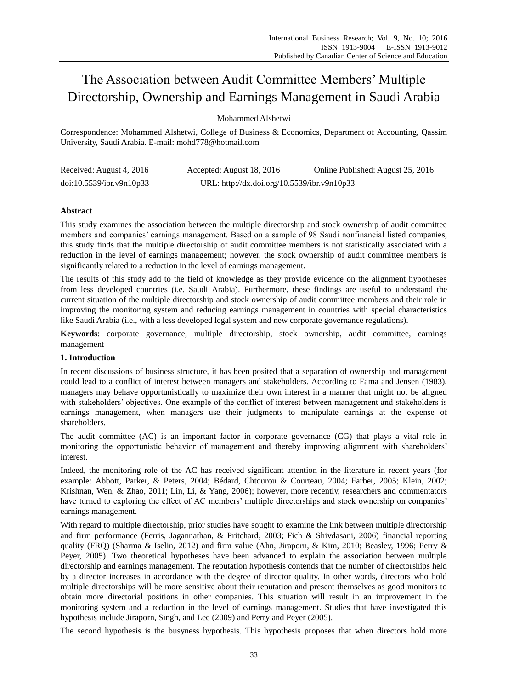# The Association between Audit Committee Members' Multiple Directorship, Ownership and Earnings Management in Saudi Arabia

# Mohammed Alshetwi

Correspondence: Mohammed Alshetwi, College of Business & Economics, Department of Accounting, Qassim University, Saudi Arabia. E-mail: mohd778@hotmail.com

| Received: August 4, 2016 | Accepted: August 18, 2016                   | Online Published: August 25, 2016 |
|--------------------------|---------------------------------------------|-----------------------------------|
| doi:10.5539/ibr.v9n10p33 | URL: http://dx.doi.org/10.5539/ibr.v9n10p33 |                                   |

# **Abstract**

This study examines the association between the multiple directorship and stock ownership of audit committee members and companies' earnings management. Based on a sample of 98 Saudi nonfinancial listed companies, this study finds that the multiple directorship of audit committee members is not statistically associated with a reduction in the level of earnings management; however, the stock ownership of audit committee members is significantly related to a reduction in the level of earnings management.

The results of this study add to the field of knowledge as they provide evidence on the alignment hypotheses from less developed countries (i.e. Saudi Arabia). Furthermore, these findings are useful to understand the current situation of the multiple directorship and stock ownership of audit committee members and their role in improving the monitoring system and reducing earnings management in countries with special characteristics like Saudi Arabia (i.e., with a less developed legal system and new corporate governance regulations).

**Keywords**: corporate governance, multiple directorship, stock ownership, audit committee, earnings management

# **1. Introduction**

In recent discussions of business structure, it has been posited that a separation of ownership and management could lead to a conflict of interest between managers and stakeholders. According to Fama and Jensen (1983), managers may behave opportunistically to maximize their own interest in a manner that might not be aligned with stakeholders' objectives. One example of the conflict of interest between management and stakeholders is earnings management, when managers use their judgments to manipulate earnings at the expense of shareholders.

The audit committee (AC) is an important factor in corporate governance (CG) that plays a vital role in monitoring the opportunistic behavior of management and thereby improving alignment with shareholders' interest.

Indeed, the monitoring role of the AC has received significant attention in the literature in recent years (for example: Abbott, Parker, & Peters, 2004; Bédard, Chtourou & Courteau, 2004; Farber, 2005; Klein, 2002; Krishnan, Wen, & Zhao, 2011; Lin, Li, & Yang, 2006); however, more recently, researchers and commentators have turned to exploring the effect of AC members' multiple directorships and stock ownership on companies' earnings management.

With regard to multiple directorship, prior studies have sought to examine the link between multiple directorship and firm performance (Ferris, Jagannathan, & Pritchard, 2003; Fich & Shivdasani, 2006) financial reporting quality (FRQ) (Sharma & Iselin, 2012) and firm value (Ahn, Jiraporn, & Kim, 2010; Beasley, 1996; Perry & Peyer, 2005). Two theoretical hypotheses have been advanced to explain the association between multiple directorship and earnings management. The reputation hypothesis contends that the number of directorships held by a director increases in accordance with the degree of director quality. In other words, directors who hold multiple directorships will be more sensitive about their reputation and present themselves as good monitors to obtain more directorial positions in other companies. This situation will result in an improvement in the monitoring system and a reduction in the level of earnings management. Studies that have investigated this hypothesis include Jiraporn, Singh, and Lee (2009) and Perry and Peyer (2005).

The second hypothesis is the busyness hypothesis. This hypothesis proposes that when directors hold more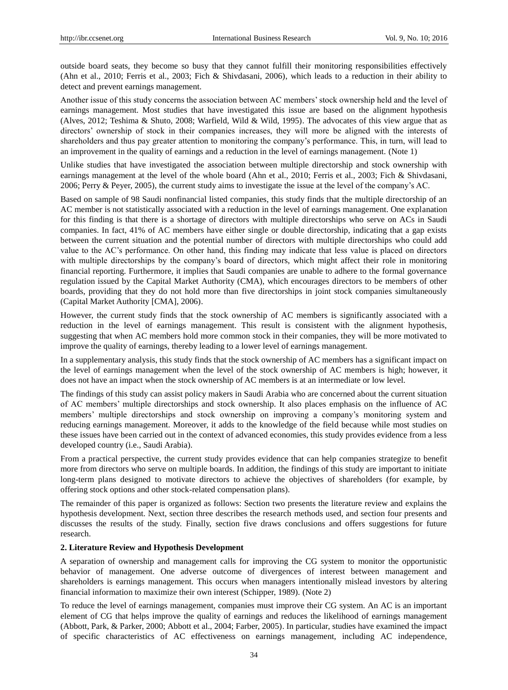outside board seats, they become so busy that they cannot fulfill their monitoring responsibilities effectively (Ahn et al., 2010; Ferris et al., 2003; Fich & Shivdasani, 2006), which leads to a reduction in their ability to detect and prevent earnings management.

Another issue of this study concerns the association between AC members' stock ownership held and the level of earnings management. Most studies that have investigated this issue are based on the alignment hypothesis (Alves, 2012; Teshima & Shuto, 2008; Warfield, Wild & Wild, 1995). The advocates of this view argue that as directors' ownership of stock in their companies increases, they will more be aligned with the interests of shareholders and thus pay greater attention to monitoring the company's performance. This, in turn, will lead to an improvement in the quality of earnings and a reduction in the level of earnings management. (Note 1)

Unlike studies that have investigated the association between multiple directorship and stock ownership with earnings management at the level of the whole board (Ahn et al., 2010; Ferris et al., 2003; Fich & Shivdasani, 2006; Perry & Peyer, 2005), the current study aims to investigate the issue at the level of the company's AC.

Based on sample of 98 Saudi nonfinancial listed companies, this study finds that the multiple directorship of an AC member is not statistically associated with a reduction in the level of earnings management. One explanation for this finding is that there is a shortage of directors with multiple directorships who serve on ACs in Saudi companies. In fact, 41% of AC members have either single or double directorship, indicating that a gap exists between the current situation and the potential number of directors with multiple directorships who could add value to the AC's performance. On other hand, this finding may indicate that less value is placed on directors with multiple directorships by the company's board of directors, which might affect their role in monitoring financial reporting. Furthermore, it implies that Saudi companies are unable to adhere to the formal governance regulation issued by the Capital Market Authority (CMA), which encourages directors to be members of other boards, providing that they do not hold more than five directorships in joint stock companies simultaneously (Capital Market Authority [CMA], 2006).

However, the current study finds that the stock ownership of AC members is significantly associated with a reduction in the level of earnings management. This result is consistent with the alignment hypothesis, suggesting that when AC members hold more common stock in their companies, they will be more motivated to improve the quality of earnings, thereby leading to a lower level of earnings management.

In a supplementary analysis, this study finds that the stock ownership of AC members has a significant impact on the level of earnings management when the level of the stock ownership of AC members is high; however, it does not have an impact when the stock ownership of AC members is at an intermediate or low level.

The findings of this study can assist policy makers in Saudi Arabia who are concerned about the current situation of AC members' multiple directorships and stock ownership. It also places emphasis on the influence of AC members' multiple directorships and stock ownership on improving a company's monitoring system and reducing earnings management. Moreover, it adds to the knowledge of the field because while most studies on these issues have been carried out in the context of advanced economies, this study provides evidence from a less developed country (i.e., Saudi Arabia).

From a practical perspective, the current study provides evidence that can help companies strategize to benefit more from directors who serve on multiple boards. In addition, the findings of this study are important to initiate long-term plans designed to motivate directors to achieve the objectives of shareholders (for example, by offering stock options and other stock-related compensation plans).

The remainder of this paper is organized as follows: Section two presents the literature review and explains the hypothesis development. Next, section three describes the research methods used, and section four presents and discusses the results of the study. Finally, section five draws conclusions and offers suggestions for future research.

# **2. Literature Review and Hypothesis Development**

A separation of ownership and management calls for improving the CG system to monitor the opportunistic behavior of management. One adverse outcome of divergences of interest between management and shareholders is earnings management. This occurs when managers intentionally mislead investors by altering financial information to maximize their own interest (Schipper, 1989). (Note 2)

To reduce the level of earnings management, companies must improve their CG system. An AC is an important element of CG that helps improve the quality of earnings and reduces the likelihood of earnings management (Abbott, Park, & Parker, 2000; Abbott et al., 2004; Farber, 2005). In particular, studies have examined the impact of specific characteristics of AC effectiveness on earnings management, including AC independence,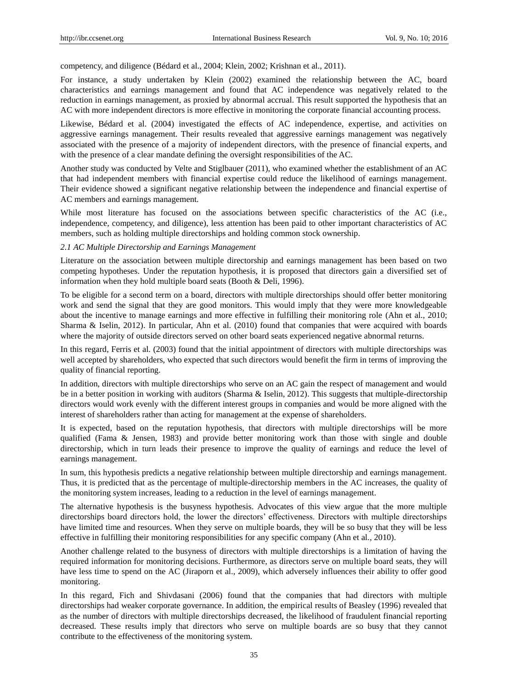competency, and diligence (Bédard et al., 2004; Klein, 2002; Krishnan et al., 2011).

For instance, a study undertaken by Klein (2002) examined the relationship between the AC, board characteristics and earnings management and found that AC independence was negatively related to the reduction in earnings management, as proxied by abnormal accrual. This result supported the hypothesis that an AC with more independent directors is more effective in monitoring the corporate financial accounting process.

Likewise, Bédard et al. (2004) investigated the effects of AC independence, expertise, and activities on aggressive earnings management. Their results revealed that aggressive earnings management was negatively associated with the presence of a majority of independent directors, with the presence of financial experts, and with the presence of a clear mandate defining the oversight responsibilities of the AC.

Another study was conducted by Velte and Stiglbauer (2011), who examined whether the establishment of an AC that had independent members with financial expertise could reduce the likelihood of earnings management. Their evidence showed a significant negative relationship between the independence and financial expertise of AC members and earnings management.

While most literature has focused on the associations between specific characteristics of the AC (i.e., independence, competency, and diligence), less attention has been paid to other important characteristics of AC members, such as holding multiple directorships and holding common stock ownership.

# *2.1 AC Multiple Directorship and Earnings Management*

Literature on the association between multiple directorship and earnings management has been based on two competing hypotheses. Under the reputation hypothesis, it is proposed that directors gain a diversified set of information when they hold multiple board seats (Booth & Deli, 1996).

To be eligible for a second term on a board, directors with multiple directorships should offer better monitoring work and send the signal that they are good monitors. This would imply that they were more knowledgeable about the incentive to manage earnings and more effective in fulfilling their monitoring role (Ahn et al., 2010; Sharma & Iselin, 2012). In particular, Ahn et al. (2010) found that companies that were acquired with boards where the majority of outside directors served on other board seats experienced negative abnormal returns.

In this regard, Ferris et al. (2003) found that the initial appointment of directors with multiple directorships was well accepted by shareholders, who expected that such directors would benefit the firm in terms of improving the quality of financial reporting.

In addition, directors with multiple directorships who serve on an AC gain the respect of management and would be in a better position in working with auditors (Sharma & Iselin, 2012). This suggests that multiple-directorship directors would work evenly with the different interest groups in companies and would be more aligned with the interest of shareholders rather than acting for management at the expense of shareholders.

It is expected, based on the reputation hypothesis, that directors with multiple directorships will be more qualified (Fama & Jensen, 1983) and provide better monitoring work than those with single and double directorship, which in turn leads their presence to improve the quality of earnings and reduce the level of earnings management.

In sum, this hypothesis predicts a negative relationship between multiple directorship and earnings management. Thus, it is predicted that as the percentage of multiple-directorship members in the AC increases, the quality of the monitoring system increases, leading to a reduction in the level of earnings management.

The alternative hypothesis is the busyness hypothesis. Advocates of this view argue that the more multiple directorships board directors hold, the lower the directors' effectiveness. Directors with multiple directorships have limited time and resources. When they serve on multiple boards, they will be so busy that they will be less effective in fulfilling their monitoring responsibilities for any specific company (Ahn et al., 2010).

Another challenge related to the busyness of directors with multiple directorships is a limitation of having the required information for monitoring decisions. Furthermore, as directors serve on multiple board seats, they will have less time to spend on the AC (Jiraporn et al., 2009), which adversely influences their ability to offer good monitoring.

In this regard, Fich and Shivdasani (2006) found that the companies that had directors with multiple directorships had weaker corporate governance. In addition, the empirical results of Beasley (1996) revealed that as the number of directors with multiple directorships decreased, the likelihood of fraudulent financial reporting decreased. These results imply that directors who serve on multiple boards are so busy that they cannot contribute to the effectiveness of the monitoring system.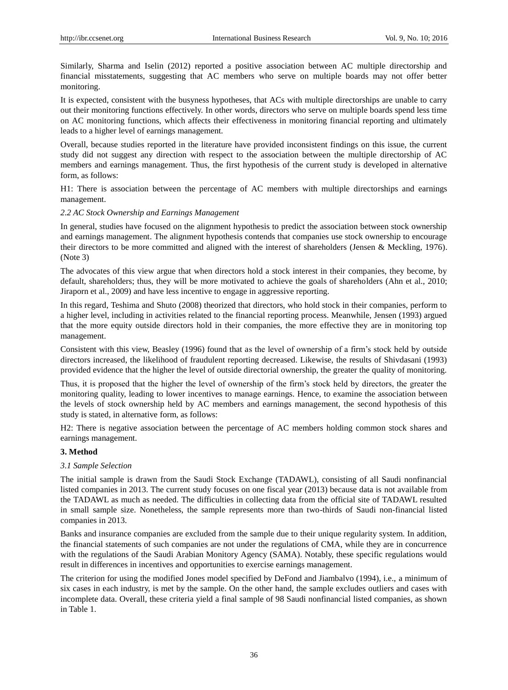Similarly, Sharma and Iselin (2012) reported a positive association between AC multiple directorship and financial misstatements, suggesting that AC members who serve on multiple boards may not offer better monitoring.

It is expected, consistent with the busyness hypotheses, that ACs with multiple directorships are unable to carry out their monitoring functions effectively. In other words, directors who serve on multiple boards spend less time on AC monitoring functions, which affects their effectiveness in monitoring financial reporting and ultimately leads to a higher level of earnings management.

Overall, because studies reported in the literature have provided inconsistent findings on this issue, the current study did not suggest any direction with respect to the association between the multiple directorship of AC members and earnings management. Thus, the first hypothesis of the current study is developed in alternative form, as follows:

H1: There is association between the percentage of AC members with multiple directorships and earnings management.

#### *2.2 AC Stock Ownership and Earnings Management*

In general, studies have focused on the alignment hypothesis to predict the association between stock ownership and earnings management. The alignment hypothesis contends that companies use stock ownership to encourage their directors to be more committed and aligned with the interest of shareholders (Jensen & Meckling, 1976). (Note 3)

The advocates of this view argue that when directors hold a stock interest in their companies, they become, by default, shareholders; thus, they will be more motivated to achieve the goals of shareholders (Ahn et al., 2010; Jiraporn et al., 2009) and have less incentive to engage in aggressive reporting.

In this regard, Teshima and Shuto (2008) theorized that directors, who hold stock in their companies, perform to a higher level, including in activities related to the financial reporting process. Meanwhile, Jensen (1993) argued that the more equity outside directors hold in their companies, the more effective they are in monitoring top management.

Consistent with this view, Beasley (1996) found that as the level of ownership of a firm's stock held by outside directors increased, the likelihood of fraudulent reporting decreased. Likewise, the results of Shivdasani (1993) provided evidence that the higher the level of outside directorial ownership, the greater the quality of monitoring.

Thus, it is proposed that the higher the level of ownership of the firm's stock held by directors, the greater the monitoring quality, leading to lower incentives to manage earnings. Hence, to examine the association between the levels of stock ownership held by AC members and earnings management, the second hypothesis of this study is stated, in alternative form, as follows:

H2: There is negative association between the percentage of AC members holding common stock shares and earnings management.

# **3. Method**

## *3.1 Sample Selection*

The initial sample is drawn from the Saudi Stock Exchange (TADAWL), consisting of all Saudi nonfinancial listed companies in 2013. The current study focuses on one fiscal year (2013) because data is not available from the TADAWL as much as needed. The difficulties in collecting data from the official site of TADAWL resulted in small sample size. Nonetheless, the sample represents more than two-thirds of Saudi non-financial listed companies in 2013.

Banks and insurance companies are excluded from the sample due to their unique regularity system. In addition, the financial statements of such companies are not under the regulations of CMA, while they are in concurrence with the regulations of the Saudi Arabian Monitory Agency (SAMA). Notably, these specific regulations would result in differences in incentives and opportunities to exercise earnings management.

The criterion for using the modified Jones model specified by DeFond and Jiambalvo (1994), i.e., a minimum of six cases in each industry, is met by the sample. On the other hand, the sample excludes outliers and cases with incomplete data. Overall, these criteria yield a final sample of 98 Saudi nonfinancial listed companies, as shown in Table 1.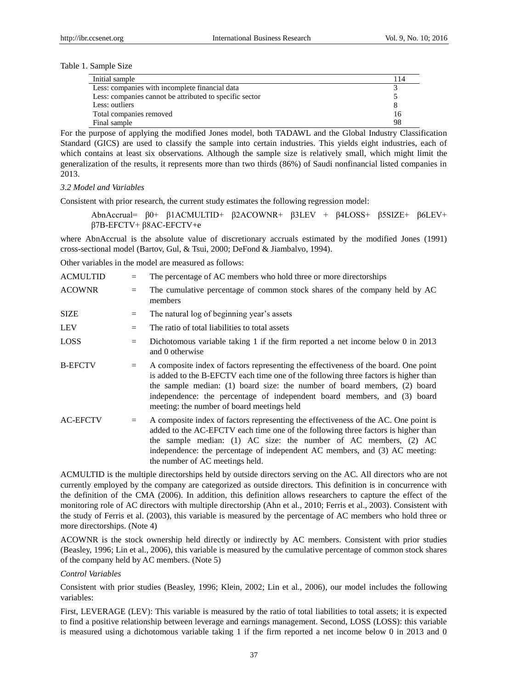## Table 1. Sample Size

| Initial sample                                          | 114 |
|---------------------------------------------------------|-----|
| Less: companies with incomplete financial data          |     |
| Less: companies cannot be attributed to specific sector |     |
| Less: outliers                                          |     |
| Total companies removed                                 | 16  |
| Final sample                                            | 98  |

For the purpose of applying the modified Jones model, both TADAWL and the Global Industry Classification Standard (GICS) are used to classify the sample into certain industries. This yields eight industries, each of which contains at least six observations. Although the sample size is relatively small, which might limit the generalization of the results, it represents more than two thirds (86%) of Saudi nonfinancial listed companies in 2013.

## *3.2 Model and Variables*

Consistent with prior research, the current study estimates the following regression model:

AbnAccrual= β0+ β1ACMULTID+ β2ACOWNR+ β3LEV + β4LOSS+ β5SIZE+ β6LEV+ β7B-EFCTV+ β8AC-EFCTV+e

where AbnAccrual is the absolute value of discretionary accruals estimated by the modified Jones (1991) cross-sectional model (Bartov, Gul, & Tsui, 2000; DeFond & Jiambalvo, 1994).

Other variables in the model are measured as follows:

| <b>ACMULTID</b> | $=$ | The percentage of AC members who hold three or more directorships                                                                                                                                                                                                                                                                                                                 |
|-----------------|-----|-----------------------------------------------------------------------------------------------------------------------------------------------------------------------------------------------------------------------------------------------------------------------------------------------------------------------------------------------------------------------------------|
| <b>ACOWNR</b>   | $=$ | The cumulative percentage of common stock shares of the company held by AC<br>members                                                                                                                                                                                                                                                                                             |
| <b>SIZE</b>     | $=$ | The natural log of beginning year's assets                                                                                                                                                                                                                                                                                                                                        |
| <b>LEV</b>      | $=$ | The ratio of total liabilities to total assets                                                                                                                                                                                                                                                                                                                                    |
| <b>LOSS</b>     | $=$ | Dichotomous variable taking 1 if the firm reported a net income below 0 in 2013<br>and 0 otherwise                                                                                                                                                                                                                                                                                |
| <b>B-EFCTV</b>  | $=$ | A composite index of factors representing the effectiveness of the board. One point<br>is added to the B-EFCTV each time one of the following three factors is higher than<br>the sample median: (1) board size: the number of board members, (2) board<br>independence: the percentage of independent board members, and (3) board<br>meeting: the number of board meetings held |
| <b>AC-EFCTV</b> | $=$ | A composite index of factors representing the effectiveness of the AC. One point is<br>added to the AC-EFCTV each time one of the following three factors is higher than<br>the sample median: (1) AC size: the number of AC members, (2) AC<br>independence: the percentage of independent AC members, and (3) AC meeting:<br>the number of AC meetings held.                    |

ACMULTID is the multiple directorships held by outside directors serving on the AC. All directors who are not currently employed by the company are categorized as outside directors. This definition is in concurrence with the definition of the CMA (2006). In addition, this definition allows researchers to capture the effect of the monitoring role of AC directors with multiple directorship (Ahn et al., 2010; Ferris et al., 2003). Consistent with the study of Ferris et al. (2003), this variable is measured by the percentage of AC members who hold three or more directorships. (Note 4)

ACOWNR is the stock ownership held directly or indirectly by AC members. Consistent with prior studies (Beasley, 1996; Lin et al., 2006), this variable is measured by the cumulative percentage of common stock shares of the company held by AC members. (Note 5)

## *Control Variables*

Consistent with prior studies (Beasley, 1996; Klein, 2002; Lin et al., 2006), our model includes the following variables:

First, LEVERAGE (LEV): This variable is measured by the ratio of total liabilities to total assets; it is expected to find a positive relationship between leverage and earnings management. Second, LOSS (LOSS): this variable is measured using a dichotomous variable taking 1 if the firm reported a net income below 0 in 2013 and 0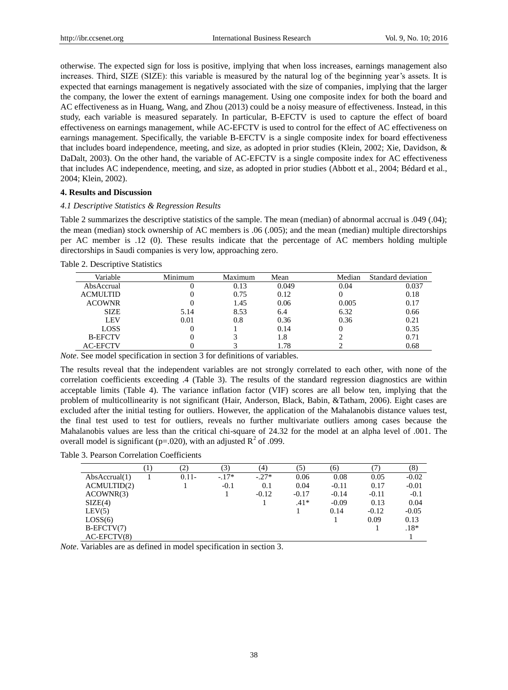otherwise. The expected sign for loss is positive, implying that when loss increases, earnings management also increases. Third, SIZE (SIZE): this variable is measured by the natural log of the beginning year's assets. It is expected that earnings management is negatively associated with the size of companies, implying that the larger the company, the lower the extent of earnings management. Using one composite index for both the board and AC effectiveness as in Huang, Wang, and Zhou (2013) could be a noisy measure of effectiveness. Instead, in this study, each variable is measured separately. In particular, B-EFCTV is used to capture the effect of board effectiveness on earnings management, while AC-EFCTV is used to control for the effect of AC effectiveness on earnings management. Specifically, the variable B-EFCTV is a single composite index for board effectiveness that includes board independence, meeting, and size, as adopted in prior studies (Klein, 2002; Xie, Davidson, & DaDalt, 2003). On the other hand, the variable of AC-EFCTV is a single composite index for AC effectiveness that includes AC independence, meeting, and size, as adopted in prior studies (Abbott et al., 2004; Bédard et al., 2004; Klein, 2002).

## **4. Results and Discussion**

#### *4.1 Descriptive Statistics & Regression Results*

Table 2 summarizes the descriptive statistics of the sample. The mean (median) of abnormal accrual is .049 (.04); the mean (median) stock ownership of AC members is .06 (.005); and the mean (median) multiple directorships per AC member is .12 (0). These results indicate that the percentage of AC members holding multiple directorships in Saudi companies is very low, approaching zero.

| Variable        | Minimum | Maximum  | Mean  | Median | Standard deviation |
|-----------------|---------|----------|-------|--------|--------------------|
| AbsAccrual      |         | 0.13     | 0.049 | 0.04   | 0.037              |
| <b>ACMULTID</b> |         | 0.75     | 0.12  |        | 0.18               |
| <b>ACOWNR</b>   |         | 1.45     | 0.06  | 0.005  | 0.17               |
| <b>SIZE</b>     | 5.14    | 8.53     | 6.4   | 6.32   | 0.66               |
| LEV             | 0.01    | 0.8      | 0.36  | 0.36   | 0.21               |
| <b>LOSS</b>     |         |          | 0.14  |        | 0.35               |
| <b>B-EFCTV</b>  |         |          | 1.8   |        | 0.71               |
| <b>AC-EFCTV</b> |         |          | 1.78  |        | 0.68               |
| .               |         | .<br>- - | .     |        |                    |

Table 2. Descriptive Statistics

*Note*. See model specification in section 3 for definitions of variables.

The results reveal that the independent variables are not strongly correlated to each other, with none of the correlation coefficients exceeding .4 (Table 3). The results of the standard regression diagnostics are within acceptable limits (Table 4). The variance inflation factor (VIF) scores are all below ten, implying that the problem of multicollinearity is not significant (Hair, Anderson, Black, Babin, &Tatham, 2006). Eight cases are excluded after the initial testing for outliers. However, the application of the Mahalanobis distance values test, the final test used to test for outliers, reveals no further multivariate outliers among cases because the Mahalanobis values are less than the critical chi-square of 24.32 for the model at an alpha level of .001. The overall model is significant (p=.020), with an adjusted  $R^2$  of .099.

Table 3. Pearson Correlation Coefficients

|               | $\mathbf{2}$ | 3)      | $\left( 4\right)$ | (5)     | (6)     |         | (8)     |
|---------------|--------------|---------|-------------------|---------|---------|---------|---------|
| AbsAccrual(1) | $0.11 -$     | $-.17*$ | $-.27*$           | 0.06    | 0.08    | 0.05    | $-0.02$ |
| ACMULTID(2)   |              | $-0.1$  | 0.1               | 0.04    | $-0.11$ | 0.17    | $-0.01$ |
| ACOWNR(3)     |              |         | $-0.12$           | $-0.17$ | $-0.14$ | $-0.11$ | $-0.1$  |
| SIZE(4)       |              |         |                   | $.41*$  | $-0.09$ | 0.13    | 0.04    |
| LEV(5)        |              |         |                   |         | 0.14    | $-0.12$ | $-0.05$ |
| LOSS(6)       |              |         |                   |         |         | 0.09    | 0.13    |
| $B-EFCTV(7)$  |              |         |                   |         |         |         | $.18*$  |
| $AC-EFCTV(8)$ |              |         |                   |         |         |         |         |

*Note*. Variables are as defined in model specification in section 3.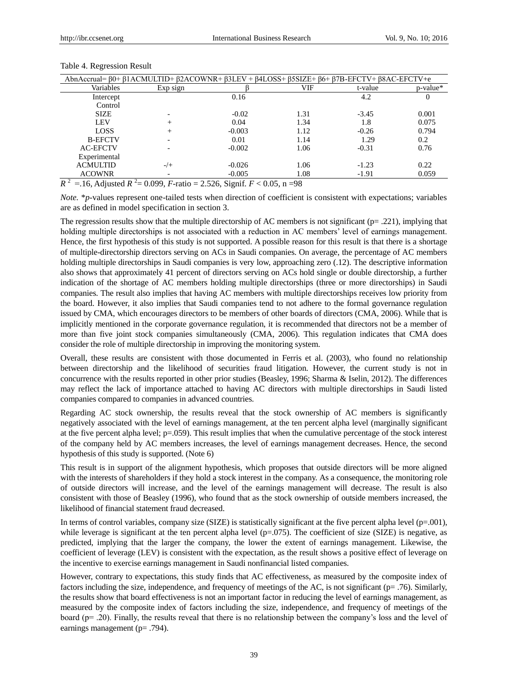| AbnAccrual= $\beta$ 0+ $\beta$ 1ACMULTID+ $\beta$ 2ACOWNR+ $\beta$ 3LEV + $\beta$ 4LOSS+ $\beta$ SSIZE+ $\beta$ 6+ $\beta$ 7B-EFCTV+ $\beta$ 8AC-EFCTV+e |                          |                                  |               |         |             |
|----------------------------------------------------------------------------------------------------------------------------------------------------------|--------------------------|----------------------------------|---------------|---------|-------------|
| Variables                                                                                                                                                | Exp sign                 |                                  | VIF           | t-value | $p$ -value* |
| Intercept                                                                                                                                                |                          | 0.16                             |               | 4.2     |             |
| Control                                                                                                                                                  |                          |                                  |               |         |             |
| <b>SIZE</b>                                                                                                                                              |                          | $-0.02$                          | 1.31          | $-3.45$ | 0.001       |
| <b>LEV</b>                                                                                                                                               | $^{+}$                   | 0.04                             | 1.34          | 1.8     | 0.075       |
| <b>LOSS</b>                                                                                                                                              | $^{+}$                   | $-0.003$                         | 1.12          | $-0.26$ | 0.794       |
| <b>B-EFCTV</b>                                                                                                                                           |                          | 0.01                             | 1.14          | 1.29    | 0.2         |
| <b>AC-EFCTV</b>                                                                                                                                          |                          | $-0.002$                         | 1.06          | $-0.31$ | 0.76        |
| Experimental                                                                                                                                             |                          |                                  |               |         |             |
| <b>ACMULTID</b>                                                                                                                                          | $-$ /+                   | $-0.026$                         | 1.06          | $-1.23$ | 0.22        |
| <b>ACOWNR</b>                                                                                                                                            | $\overline{\phantom{0}}$ | $-0.005$                         | 1.08          | $-1.91$ | 0.059       |
| $-2$<br>$\cdot$ $\cdot$ $\cdot$ $\cdot$<br>.                                                                                                             | -----                    | $\cdots$<br>$\sim$ $\sim$ $\sim$ | $\sim$ $\sim$ |         |             |

#### Table 4. Regression Result

 $R^2 = 16$ , Adjusted  $R^2 = 0.099$ , *F*-ratio = 2.526, Signif. *F* < 0.05, n = 98

*Note.* \**p*-values represent one-tailed tests when direction of coefficient is consistent with expectations; variables are as defined in model specification in section 3.

The regression results show that the multiple directorship of AC members is not significant ( $p=$  .221), implying that holding multiple directorships is not associated with a reduction in AC members' level of earnings management. Hence, the first hypothesis of this study is not supported. A possible reason for this result is that there is a shortage of multiple-directorship directors serving on ACs in Saudi companies. On average, the percentage of AC members holding multiple directorships in Saudi companies is very low, approaching zero (.12). The descriptive information also shows that approximately 41 percent of directors serving on ACs hold single or double directorship, a further indication of the shortage of AC members holding multiple directorships (three or more directorships) in Saudi companies. The result also implies that having AC members with multiple directorships receives low priority from the board. However, it also implies that Saudi companies tend to not adhere to the formal governance regulation issued by CMA, which encourages directors to be members of other boards of directors (CMA, 2006). While that is implicitly mentioned in the corporate governance regulation, it is recommended that directors not be a member of more than five joint stock companies simultaneously (CMA, 2006). This regulation indicates that CMA does consider the role of multiple directorship in improving the monitoring system.

Overall, these results are consistent with those documented in Ferris et al. (2003), who found no relationship between directorship and the likelihood of securities fraud litigation. However, the current study is not in concurrence with the results reported in other prior studies (Beasley, 1996; Sharma & Iselin, 2012). The differences may reflect the lack of importance attached to having AC directors with multiple directorships in Saudi listed companies compared to companies in advanced countries.

Regarding AC stock ownership, the results reveal that the stock ownership of AC members is significantly negatively associated with the level of earnings management, at the ten percent alpha level (marginally significant at the five percent alpha level; p=.059). This result implies that when the cumulative percentage of the stock interest of the company held by AC members increases, the level of earnings management decreases. Hence, the second hypothesis of this study is supported. (Note 6)

This result is in support of the alignment hypothesis, which proposes that outside directors will be more aligned with the interests of shareholders if they hold a stock interest in the company. As a consequence, the monitoring role of outside directors will increase, and the level of the earnings management will decrease. The result is also consistent with those of Beasley (1996), who found that as the stock ownership of outside members increased, the likelihood of financial statement fraud decreased.

In terms of control variables, company size (SIZE) is statistically significant at the five percent alpha level (p=.001), while leverage is significant at the ten percent alpha level  $(p=.075)$ . The coefficient of size (SIZE) is negative, as predicted, implying that the larger the company, the lower the extent of earnings management. Likewise, the coefficient of leverage (LEV) is consistent with the expectation, as the result shows a positive effect of leverage on the incentive to exercise earnings management in Saudi nonfinancial listed companies.

However, contrary to expectations, this study finds that AC effectiveness, as measured by the composite index of factors including the size, independence, and frequency of meetings of the AC, is not significant (p= .76). Similarly, the results show that board effectiveness is not an important factor in reducing the level of earnings management, as measured by the composite index of factors including the size, independence, and frequency of meetings of the board (p= .20). Finally, the results reveal that there is no relationship between the company's loss and the level of earnings management (p= .794).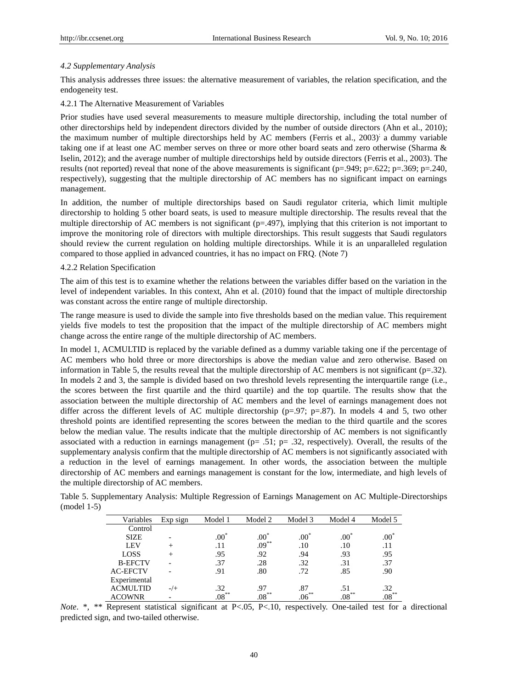# *4.2 Supplementary Analysis*

This analysis addresses three issues: the alternative measurement of variables, the relation specification, and the endogeneity test.

## 4.2.1 The Alternative Measurement of Variables

Prior studies have used several measurements to measure multiple directorship, including the total number of other directorships held by independent directors divided by the number of outside directors (Ahn et al., 2010); the maximum number of multiple directorships held by AC members (Ferris et al., 2003)<sup>;</sup> a dummy variable taking one if at least one AC member serves on three or more other board seats and zero otherwise (Sharma & Iselin, 2012); and the average number of multiple directorships held by outside directors (Ferris et al., 2003). The results (not reported) reveal that none of the above measurements is significant (p=.949; p=.622; p=.369; p=.240, respectively), suggesting that the multiple directorship of AC members has no significant impact on earnings management.

In addition, the number of multiple directorships based on Saudi regulator criteria, which limit multiple directorship to holding 5 other board seats, is used to measure multiple directorship. The results reveal that the multiple directorship of AC members is not significant ( $p=497$ ), implying that this criterion is not important to improve the monitoring role of directors with multiple directorships. This result suggests that Saudi regulators should review the current regulation on holding multiple directorships. While it is an unparalleled regulation compared to those applied in advanced countries, it has no impact on FRQ. (Note 7)

#### 4.2.2 Relation Specification

The aim of this test is to examine whether the relations between the variables differ based on the variation in the level of independent variables. In this context, Ahn et al. (2010) found that the impact of multiple directorship was constant across the entire range of multiple directorship.

The range measure is used to divide the sample into five thresholds based on the median value. This requirement yields five models to test the proposition that the impact of the multiple directorship of AC members might change across the entire range of the multiple directorship of AC members.

In model 1, ACMULTID is replaced by the variable defined as a dummy variable taking one if the percentage of AC members who hold three or more directorships is above the median value and zero otherwise. Based on information in Table 5, the results reveal that the multiple directorship of AC members is not significant ( $p=.32$ ). In models 2 and 3, the sample is divided based on two threshold levels representing the interquartile range (i.e., the scores between the first quartile and the third quartile) and the top quartile. The results show that the association between the multiple directorship of AC members and the level of earnings management does not differ across the different levels of AC multiple directorship ( $p=0.97$ ;  $p=.87$ ). In models 4 and 5, two other threshold points are identified representing the scores between the median to the third quartile and the scores below the median value. The results indicate that the multiple directorship of AC members is not significantly associated with a reduction in earnings management ( $p= .51$ ;  $p= .32$ , respectively). Overall, the results of the supplementary analysis confirm that the multiple directorship of AC members is not significantly associated with a reduction in the level of earnings management. In other words, the association between the multiple directorship of AC members and earnings management is constant for the low, intermediate, and high levels of the multiple directorship of AC members.

Table 5. Supplementary Analysis: Multiple Regression of Earnings Management on AC Multiple-Directorships (model 1-5)

| Variables       | Exp sign | Model 1          | Model 2          | Model 3  | Model 4         | Model 5      |
|-----------------|----------|------------------|------------------|----------|-----------------|--------------|
| Control         |          |                  |                  |          |                 |              |
| <b>SIZE</b>     |          | $.00*$           | .00 <sup>°</sup> | $.00*$   | $.00^{\degree}$ | $.00^{\ast}$ |
| LEV             | $^{+}$   | . 11             | $.09***$         | .10      | .10             | .11          |
| <b>LOSS</b>     |          | .95              | .92              | .94      | .93             | .95          |
| <b>B-EFCTV</b>  |          | .37              | .28              | .32      | .31             | .37          |
| <b>AC-EFCTV</b> |          | .91              | .80              | .72      | .85             | .90          |
| Experimental    |          |                  |                  |          |                 |              |
| <b>ACMULTID</b> | $-$ /+   | .32              | .97              | .87      | .51             | .32          |
| <b>ACOWNR</b>   |          | $.08^{\ast\ast}$ | $.08^{**}$       | $.06***$ | $.08^{**}$      | $.08^{**}$   |

*Note.* \*, \*\* Represent statistical significant at P<.05, P<.10, respectively. One-tailed test for a directional predicted sign, and two-tailed otherwise.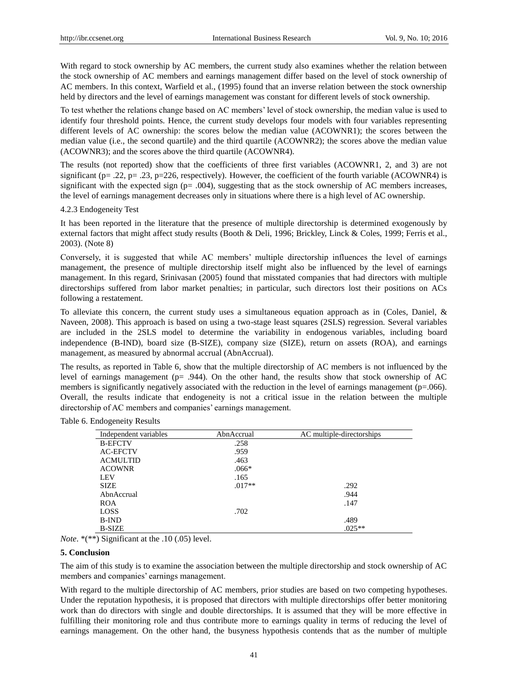With regard to stock ownership by AC members, the current study also examines whether the relation between the stock ownership of AC members and earnings management differ based on the level of stock ownership of AC members. In this context, Warfield et al., (1995) found that an inverse relation between the stock ownership held by directors and the level of earnings management was constant for different levels of stock ownership.

To test whether the relations change based on AC members' level of stock ownership, the median value is used to identify four threshold points. Hence, the current study develops four models with four variables representing different levels of AC ownership: the scores below the median value (ACOWNR1); the scores between the median value (i.e., the second quartile) and the third quartile (ACOWNR2); the scores above the median value (ACOWNR3); and the scores above the third quartile (ACOWNR4).

The results (not reported) show that the coefficients of three first variables (ACOWNR1, 2, and 3) are not significant ( $p = .22$ ,  $p = .23$ ,  $p = 226$ , respectively). However, the coefficient of the fourth variable (ACOWNR4) is significant with the expected sign ( $p=$  .004), suggesting that as the stock ownership of AC members increases, the level of earnings management decreases only in situations where there is a high level of AC ownership.

#### 4.2.3 Endogeneity Test

It has been reported in the literature that the presence of multiple directorship is determined exogenously by external factors that might affect study results (Booth & Deli, 1996; Brickley, Linck & Coles, 1999; Ferris et al., 2003). (Note 8)

Conversely, it is suggested that while AC members' multiple directorship influences the level of earnings management, the presence of multiple directorship itself might also be influenced by the level of earnings management. In this regard, Srinivasan (2005) found that misstated companies that had directors with multiple directorships suffered from labor market penalties; in particular, such directors lost their positions on ACs following a restatement.

To alleviate this concern, the current study uses a simultaneous equation approach as in (Coles, Daniel, & Naveen, 2008). This approach is based on using a two-stage least squares (2SLS) regression. Several variables are included in the 2SLS model to determine the variability in endogenous variables, including board independence (B-IND), board size (B-SIZE), company size (SIZE), return on assets (ROA), and earnings management, as measured by abnormal accrual (AbnAccrual).

The results, as reported in Table 6, show that the multiple directorship of AC members is not influenced by the level of earnings management ( $p=$  .944). On the other hand, the results show that stock ownership of AC members is significantly negatively associated with the reduction in the level of earnings management (p=.066). Overall, the results indicate that endogeneity is not a critical issue in the relation between the multiple directorship of AC members and companies' earnings management.

| Independent variables | AbnAccrual | AC multiple-directorships |
|-----------------------|------------|---------------------------|
| <b>B-EFCTV</b>        | .258       |                           |
| <b>AC-EFCTV</b>       | .959       |                           |
| <b>ACMULTID</b>       | .463       |                           |
| <b>ACOWNR</b>         | $.066*$    |                           |
| <b>LEV</b>            | .165       |                           |
| <b>SIZE</b>           | $.017**$   | .292                      |
| AbnAccrual            |            | .944                      |
| <b>ROA</b>            |            | .147                      |
| <b>LOSS</b>           | .702       |                           |
| B-IND                 |            | .489                      |
| <b>B-SIZE</b>         |            | $.025**$                  |

Table 6. Endogeneity Results

*Note.* \*(\*\*) Significant at the .10 (.05) level.

## **5. Conclusion**

The aim of this study is to examine the association between the multiple directorship and stock ownership of AC members and companies' earnings management.

With regard to the multiple directorship of AC members, prior studies are based on two competing hypotheses. Under the reputation hypothesis, it is proposed that directors with multiple directorships offer better monitoring work than do directors with single and double directorships. It is assumed that they will be more effective in fulfilling their monitoring role and thus contribute more to earnings quality in terms of reducing the level of earnings management. On the other hand, the busyness hypothesis contends that as the number of multiple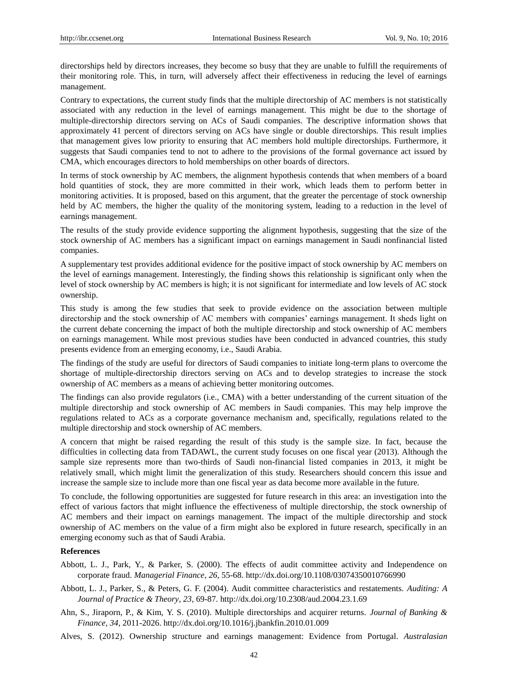directorships held by directors increases, they become so busy that they are unable to fulfill the requirements of their monitoring role. This, in turn, will adversely affect their effectiveness in reducing the level of earnings management.

Contrary to expectations, the current study finds that the multiple directorship of AC members is not statistically associated with any reduction in the level of earnings management. This might be due to the shortage of multiple-directorship directors serving on ACs of Saudi companies. The descriptive information shows that approximately 41 percent of directors serving on ACs have single or double directorships. This result implies that management gives low priority to ensuring that AC members hold multiple directorships. Furthermore, it suggests that Saudi companies tend to not to adhere to the provisions of the formal governance act issued by CMA, which encourages directors to hold memberships on other boards of directors.

In terms of stock ownership by AC members, the alignment hypothesis contends that when members of a board hold quantities of stock, they are more committed in their work, which leads them to perform better in monitoring activities. It is proposed, based on this argument, that the greater the percentage of stock ownership held by AC members, the higher the quality of the monitoring system, leading to a reduction in the level of earnings management.

The results of the study provide evidence supporting the alignment hypothesis, suggesting that the size of the stock ownership of AC members has a significant impact on earnings management in Saudi nonfinancial listed companies.

A supplementary test provides additional evidence for the positive impact of stock ownership by AC members on the level of earnings management. Interestingly, the finding shows this relationship is significant only when the level of stock ownership by AC members is high; it is not significant for intermediate and low levels of AC stock ownership.

This study is among the few studies that seek to provide evidence on the association between multiple directorship and the stock ownership of AC members with companies' earnings management. It sheds light on the current debate concerning the impact of both the multiple directorship and stock ownership of AC members on earnings management. While most previous studies have been conducted in advanced countries, this study presents evidence from an emerging economy, i.e., Saudi Arabia.

The findings of the study are useful for directors of Saudi companies to initiate long-term plans to overcome the shortage of multiple-directorship directors serving on ACs and to develop strategies to increase the stock ownership of AC members as a means of achieving better monitoring outcomes.

The findings can also provide regulators (i.e., CMA) with a better understanding of the current situation of the multiple directorship and stock ownership of AC members in Saudi companies. This may help improve the regulations related to ACs as a corporate governance mechanism and, specifically, regulations related to the multiple directorship and stock ownership of AC members.

A concern that might be raised regarding the result of this study is the sample size. In fact, because the difficulties in collecting data from TADAWL, the current study focuses on one fiscal year (2013). Although the sample size represents more than two-thirds of Saudi non-financial listed companies in 2013, it might be relatively small, which might limit the generalization of this study. Researchers should concern this issue and increase the sample size to include more than one fiscal year as data become more available in the future.

To conclude, the following opportunities are suggested for future research in this area: an investigation into the effect of various factors that might influence the effectiveness of multiple directorship, the stock ownership of AC members and their impact on earnings management. The impact of the multiple directorship and stock ownership of AC members on the value of a firm might also be explored in future research, specifically in an emerging economy such as that of Saudi Arabia.

## **References**

- Abbott, L. J., Park, Y., & Parker, S. (2000). The effects of audit committee activity and Independence on corporate fraud. *Managerial Finance, 26,* 55-68. <http://dx.doi.org/10.1108/03074350010766990>
- Abbott, L. J., Parker, S., & Peters, G. F. (2004). Audit committee characteristics and restatements. *Auditing: A Journal of Practice & Theory, 23,* 69-87. <http://dx.doi.org/10.2308/aud.2004.23.1.69>
- Ahn, S., Jiraporn, P., & Kim, Y. S. (2010). Multiple directorships and acquirer returns. *Journal of Banking & Finance, 34,* 2011-2026. <http://dx.doi.org/10.1016/j.jbankfin.2010.01.009>

Alves, S. (2012). Ownership structure and earnings management: Evidence from Portugal. *Australasian*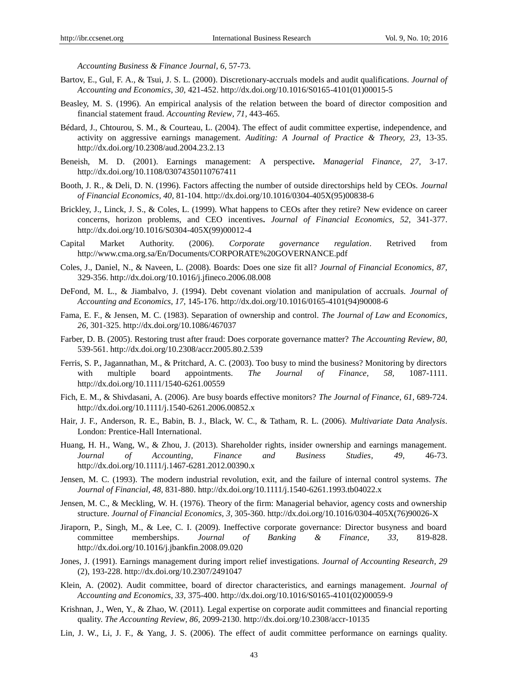*Accounting Business & Finance Journal, 6,* 57-73.

- Bartov, E., Gul, F. A., & Tsui, J. S. L. (2000). Discretionary-accruals models and audit qualifications. *Journal of Accounting and Economics, 30,* 421-452. [http://dx.doi.org/10.1016/S0165-4101\(01\)00015-5](http://dx.doi.org/10.1016/S0165-4101%2801%2900015-5)
- Beasley, M. S. (1996). An empirical analysis of the relation between the board of director composition and financial statement fraud. *Accounting Review, 71,* 443-465.
- Bédard, J., Chtourou, S. M., & Courteau, L. (2004). The effect of audit committee expertise, independence, and activity on aggressive earnings management. *Auditing: A Journal of Practice & Theory, 23,* 13-35. <http://dx.doi.org/10.2308/aud.2004.23.2.13>
- Beneish, M. D. (2001). Earnings management: A perspective**.** *Managerial Finance, 27,* 3-17. <http://dx.doi.org/10.1108/03074350110767411>
- Booth, J. R., & Deli, D. N. (1996). Factors affecting the number of outside directorships held by CEOs. *Journal of Financial Economics, 40,* 81-104. [http://dx.doi.org/10.1016/0304-405X\(95\)00838-6](http://dx.doi.org/10.1016/0304-405X%2895%2900838-6)
- Brickley, J., Linck, J. S., & Coles, L. (1999). What happens to CEOs after they retire? New evidence on career concerns, horizon problems, and CEO incentives**.** *Journal of Financial Economics, 52,* 341-377. [http://dx.doi.org/10.1016/S0304-405X\(99\)00012-4](http://dx.doi.org/10.1016/S0304-405X%2899%2900012-4)
- Capital Market Authority. (2006). *Corporate governance regulation*. Retrived from http://www.cma.org.sa/En/Documents/CORPORATE%20GOVERNANCE.pdf
- Coles, J., Daniel, N., & Naveen, L. (2008). Boards: Does one size fit all? *Journal of Financial Economics, 87,*  329-356. <http://dx.doi.org/10.1016/j.jfineco.2006.08.008>
- DeFond, M. L., & Jiambalvo, J. (1994). Debt covenant violation and manipulation of accruals. *Journal of Accounting and Economics, 17,* 145-176. [http://dx.doi.org/10.1016/0165-4101\(94\)90008-6](http://dx.doi.org/10.1016/0165-4101%2894%2990008-6)
- Fama, E. F., & Jensen, M. C. (1983). Separation of ownership and control. *The Journal of Law and Economics, 26,* 301-325. <http://dx.doi.org/10.1086/467037>
- Farber, D. B. (2005). Restoring trust after fraud: Does corporate governance matter? *The Accounting Review, 80,*  539-561. <http://dx.doi.org/10.2308/accr.2005.80.2.539>
- Ferris, S. P., Jagannathan, M., & Pritchard, A. C. (2003). Too busy to mind the business? Monitoring by directors with multiple board appointments. *The Journal of Finance, 58,* 1087-1111. <http://dx.doi.org/10.1111/1540-6261.00559>
- Fich, E. M., & Shivdasani, A. (2006). Are busy boards effective monitors? *The Journal of Finance, 61,* 689-724. <http://dx.doi.org/10.1111/j.1540-6261.2006.00852.x>
- Hair, J. F., Anderson, R. E., Babin, B. J., Black, W. C., & Tatham, R. L. (2006). *Multivariate Data Analysis*. London: Prentice-Hall International.
- Huang, H. H., Wang, W., & Zhou, J. (2013). Shareholder rights, insider ownership and earnings management. *Journal of Accounting, Finance and Business Studies, 49,* 46-73. <http://dx.doi.org/10.1111/j.1467-6281.2012.00390.x>
- Jensen, M. C. (1993). The modern industrial revolution, exit, and the failure of internal control systems. *The Journal of Financial, 48,* 831-880. <http://dx.doi.org/10.1111/j.1540-6261.1993.tb04022.x>
- Jensen, M. C., & Meckling, W. H. (1976). Theory of the firm: Managerial behavior, agency costs and ownership structure. *Journal of Financial Economics, 3,* 305-360. [http://dx.doi.org/10.1016/0304-405X\(76\)90026-X](http://dx.doi.org/10.1016/0304-405X%2876%2990026-X)
- Jiraporn, P., Singh, M., & Lee, C. I. (2009). Ineffective corporate governance: Director busyness and board committee memberships. *Journal of Banking & Finance, 33,* 819-828. <http://dx.doi.org/10.1016/j.jbankfin.2008.09.020>
- Jones, J. (1991). Earnings management during import relief investigations. *Journal of Accounting Research, 29*  (2), 193-228. <http://dx.doi.org/10.2307/2491047>
- Klein, A. (2002). Audit committee, board of director characteristics, and earnings management. *Journal of Accounting and Economics, 33,* 375-400. [http://dx.doi.org/10.1016/S0165-4101\(02\)00059-9](http://dx.doi.org/10.1016/S0165-4101%2802%2900059-9)
- Krishnan, J., Wen, Y., & Zhao, W. (2011). Legal expertise on corporate audit committees and financial reporting quality. *The Accounting Review, 86,* 2099-2130. <http://dx.doi.org/10.2308/accr-10135>
- Lin, J. W., Li, J. F., & Yang, J. S. (2006). The effect of audit committee performance on earnings quality.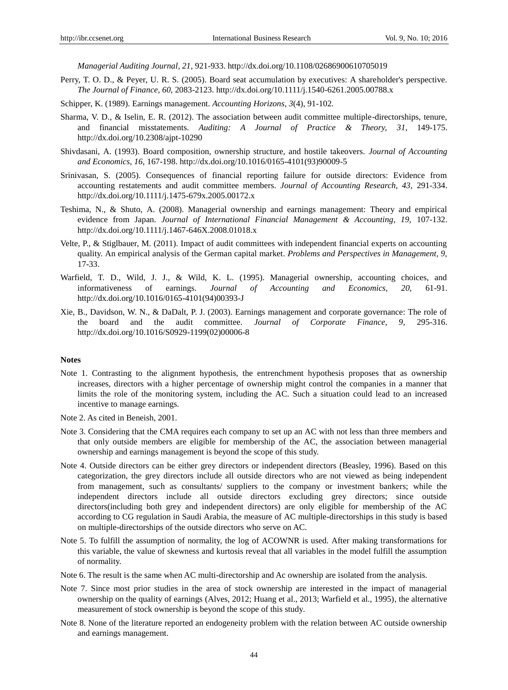*Managerial Auditing Journal, 21,* 921-933. <http://dx.doi.org/10.1108/02686900610705019>

- Perry, T. O. D., & Peyer, U. R. S. (2005). Board seat accumulation by executives: A shareholder's perspective. *The Journal of Finance, 60,* 2083-2123. <http://dx.doi.org/10.1111/j.1540-6261.2005.00788.x>
- Schipper, K. (1989). Earnings management. *Accounting Horizons, 3*(4), 91-102.
- Sharma, V. D., & Iselin, E. R. (2012). The association between audit committee multiple-directorships, tenure, and financial misstatements. *Auditing: A Journal of Practice & Theory, 31,* 149-175. <http://dx.doi.org/10.2308/ajpt-10290>
- Shivdasani, A. (1993). Board composition, ownership structure, and hostile takeovers. *Journal of Accounting and Economics, 16,* 167-198. [http://dx.doi.org/10.1016/0165-4101\(93\)90009-5](http://dx.doi.org/10.1016/0165-4101%2893%2990009-5)
- Srinivasan, S. (2005). Consequences of financial reporting failure for outside directors: Evidence from accounting restatements and audit committee members. *Journal of Accounting Research, 43,* 291-334. <http://dx.doi.org/10.1111/j.1475-679x.2005.00172.x>
- Teshima, N., & Shuto, A. (2008). Managerial ownership and earnings management: Theory and empirical evidence from Japan. *Journal of International Financial Management & Accounting, 19,* 107-132. <http://dx.doi.org/10.1111/j.1467-646X.2008.01018.x>
- Velte, P., & Stiglbauer, M. (2011). Impact of audit committees with independent financial experts on accounting quality. An empirical analysis of the German capital market. *Problems and Perspectives in Management, 9,*  17-33.
- Warfield, T. D., Wild, J. J., & Wild, K. L. (1995). Managerial ownership, accounting choices, and informativeness of earnings. *Journal of Accounting and Economics, 20,* 61-91. [http://dx.doi.org/10.1016/0165-4101\(94\)00393-J](http://dx.doi.org/10.1016/0165-4101%2894%2900393-J)
- Xie, B., Davidson, W. N., & DaDalt, P. J. (2003). Earnings management and corporate governance: The role of the board and the audit committee. *Journal of Corporate Finance, 9,* 295-316. [http://dx.doi.org/10.1016/S0929-1199\(02\)00006-8](http://dx.doi.org/10.1016/S0929-1199%2802%2900006-8)

#### **Notes**

- Note 1. Contrasting to the alignment hypothesis, the entrenchment hypothesis proposes that as ownership increases, directors with a higher percentage of ownership might control the companies in a manner that limits the role of the monitoring system, including the AC. Such a situation could lead to an increased incentive to manage earnings.
- Note 2. As cited in Beneish, 2001.
- Note 3. Considering that the CMA requires each company to set up an AC with not less than three members and that only outside members are eligible for membership of the AC, the association between managerial ownership and earnings management is beyond the scope of this study.
- Note 4. Outside directors can be either grey directors or independent directors (Beasley, 1996). Based on this categorization, the grey directors include all outside directors who are not viewed as being independent from management, such as consultants/ suppliers to the company or investment bankers; while the independent directors include all outside directors excluding grey directors; since outside directors(including both grey and independent directors) are only eligible for membership of the AC according to CG regulation in Saudi Arabia, the measure of AC multiple-directorships in this study is based on multiple-directorships of the outside directors who serve on AC.
- Note 5. To fulfill the assumption of normality, the log of ACOWNR is used. After making transformations for this variable, the value of skewness and kurtosis reveal that all variables in the model fulfill the assumption of normality.
- Note 6. The result is the same when AC multi-directorship and Ac ownership are isolated from the analysis.
- Note 7. Since most prior studies in the area of stock ownership are interested in the impact of managerial ownership on the quality of earnings (Alves, 2012; Huang et al., 2013; Warfield et al., 1995), the alternative measurement of stock ownership is beyond the scope of this study.
- Note 8. None of the literature reported an endogeneity problem with the relation between AC outside ownership and earnings management.